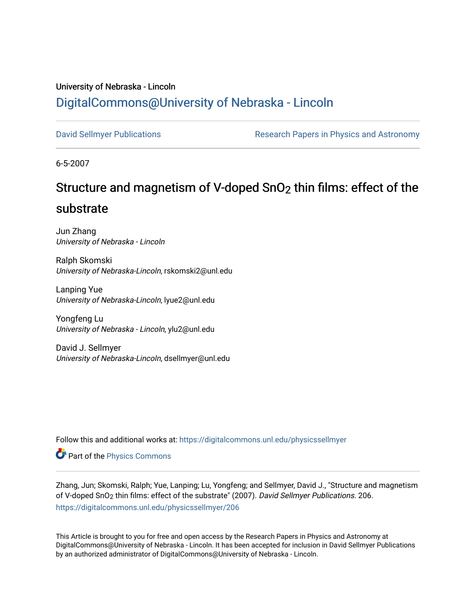### University of Nebraska - Lincoln [DigitalCommons@University of Nebraska - Lincoln](https://digitalcommons.unl.edu/)

[David Sellmyer Publications](https://digitalcommons.unl.edu/physicssellmyer) The Research Papers in Physics and Astronomy

6-5-2007

## Structure and magnetism of V-doped SnO2 thin films: effect of the

### substrate

Jun Zhang University of Nebraska - Lincoln

Ralph Skomski University of Nebraska-Lincoln, rskomski2@unl.edu

Lanping Yue University of Nebraska-Lincoln, lyue2@unl.edu

Yongfeng Lu University of Nebraska - Lincoln, ylu2@unl.edu

David J. Sellmyer University of Nebraska-Lincoln, dsellmyer@unl.edu

Follow this and additional works at: [https://digitalcommons.unl.edu/physicssellmyer](https://digitalcommons.unl.edu/physicssellmyer?utm_source=digitalcommons.unl.edu%2Fphysicssellmyer%2F206&utm_medium=PDF&utm_campaign=PDFCoverPages) 

Part of the [Physics Commons](http://network.bepress.com/hgg/discipline/193?utm_source=digitalcommons.unl.edu%2Fphysicssellmyer%2F206&utm_medium=PDF&utm_campaign=PDFCoverPages)

Zhang, Jun; Skomski, Ralph; Yue, Lanping; Lu, Yongfeng; and Sellmyer, David J., "Structure and magnetism of V-doped SnO2 thin films: effect of the substrate" (2007). David Sellmyer Publications. 206. [https://digitalcommons.unl.edu/physicssellmyer/206](https://digitalcommons.unl.edu/physicssellmyer/206?utm_source=digitalcommons.unl.edu%2Fphysicssellmyer%2F206&utm_medium=PDF&utm_campaign=PDFCoverPages) 

This Article is brought to you for free and open access by the Research Papers in Physics and Astronomy at DigitalCommons@University of Nebraska - Lincoln. It has been accepted for inclusion in David Sellmyer Publications by an authorized administrator of DigitalCommons@University of Nebraska - Lincoln.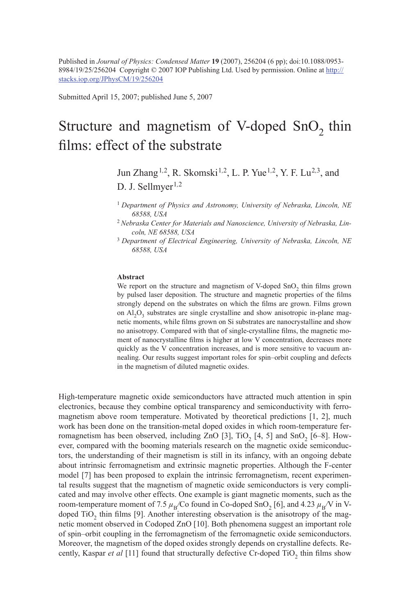Published in *Journal of Physics: Condensed Matter* **19** (2007), 256204 (6 pp); doi:10.1088/0953- 8984/19/25/256204 Copyright © 2007 IOP Publishing Ltd. Used by permission. Online at http:// stacks.iop.org/JPhysCM/19/256204

Submitted April 15, 2007; published June 5, 2007

# Structure and magnetism of V-doped  $SnO<sub>2</sub>$  thin films: effect of the substrate

Jun Zhang1*,*2, R. Skomski1*,*2, L. P. Yue1*,*2, Y. F. Lu2*,*3, and D. J. Sellmyer<sup>1,2</sup>

- <sup>1</sup>*Department of Physics and Astronomy, University of Nebraska, Lincoln, NE 68588, USA*
- 2 *Nebraska Center for Materials and Nanoscience, University of Nebraska, Lincoln, NE 68588, USA*
- <sup>3</sup>*Department of Electrical Engineering, University of Nebraska, Lincoln, NE 68588, USA*

### **Abstract**

We report on the structure and magnetism of V-doped SnO<sub>2</sub> thin films grown by pulsed laser deposition. The structure and magnetic properties of the films strongly depend on the substrates on which the films are grown. Films grown on  $AI_2O_3$  substrates are single crystalline and show anisotropic in-plane magnetic moments, while films grown on Si substrates are nanocrystalline and show no anisotropy. Compared with that of single-crystalline films, the magnetic moment of nanocrystalline films is higher at low V concentration, decreases more quickly as the V concentration increases, and is more sensitive to vacuum annealing. Our results suggest important roles for spin–orbit coupling and defects in the magnetism of diluted magnetic oxides.

High-temperature magnetic oxide semiconductors have attracted much attention in spin electronics, because they combine optical transparency and semiconductivity with ferromagnetism above room temperature. Motivated by theoretical predictions [1, 2], much work has been done on the transition-metal doped oxides in which room-temperature ferromagnetism has been observed, including ZnO  $[3]$ , TiO<sub>2</sub>  $[4, 5]$  and SnO<sub>2</sub>  $[6-8]$ . However, compared with the booming materials research on the magnetic oxide semiconductors, the understanding of their magnetism is still in its infancy, with an ongoing debate about intrinsic ferromagnetism and extrinsic magnetic properties. Although the F-center model [7] has been proposed to explain the intrinsic ferromagnetism, recent experimental results suggest that the magnetism of magnetic oxide semiconductors is very complicated and may involve other effects. One example is giant magnetic moments, such as the room-temperature moment of 7.5  $\mu$ <sub>B</sub>/Co found in Co-doped SnO<sub>2</sub> [6], and 4.23  $\mu$ <sub>B</sub>/V in Vdoped TiO<sub>2</sub> thin films [9]. Another interesting observation is the anisotropy of the magnetic moment observed in Codoped ZnO [10]. Both phenomena suggest an important role of spin–orbit coupling in the ferromagnetism of the ferromagnetic oxide semiconductors. Moreover, the magnetism of the doped oxides strongly depends on crystalline defects. Recently, Kaspar *et al* [11] found that structurally defective Cr-doped TiO<sub>2</sub> thin films show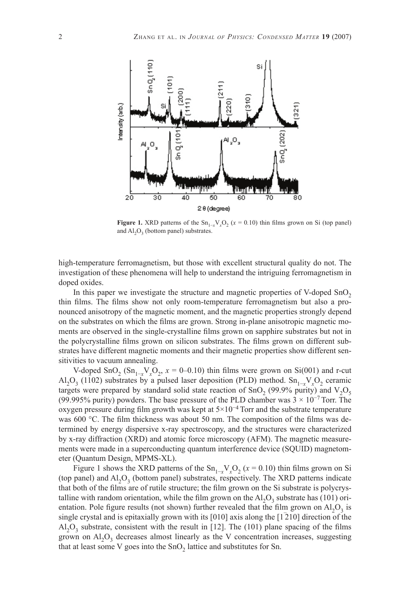

**Figure 1.** XRD patterns of the  $\text{Sn}_{1-x}\text{V}_x\text{O}_2$  ( $x = 0.10$ ) thin films grown on Si (top panel) and  $AI_2O_3$  (bottom panel) substrates.

high-temperature ferromagnetism, but those with excellent structural quality do not. The investigation of these phenomena will help to understand the intriguing ferromagnetism in doped oxides.

In this paper we investigate the structure and magnetic properties of V-doped  $SnO<sub>2</sub>$ thin films. The films show not only room-temperature ferromagnetism but also a pronounced anisotropy of the magnetic moment, and the magnetic properties strongly depend on the substrates on which the films are grown. Strong in-plane anisotropic magnetic moments are observed in the single-crystalline films grown on sapphire substrates but not in the polycrystalline films grown on silicon substrates. The films grown on different substrates have different magnetic moments and their magnetic properties show different sensitivities to vacuum annealing.

V-doped SnO<sub>2</sub> (Sn<sub>1-x</sub>V<sub>x</sub>O<sub>2</sub>,  $x = 0$ -0.10) thin films were grown on Si(001) and r-cut Al<sub>2</sub>O<sub>3</sub> (11<sup>o2</sup>) substrates by a pulsed laser deposition (PLD) method. Sn<sub>1-*x*</sub>V<sub>x</sub>O<sub>2</sub> ceramic targets were prepared by standard solid state reaction of SnO<sub>2</sub> (99.9% purity) and  $V_2O_5$ (99.995% purity) powders. The base pressure of the PLD chamber was  $3 \times 10^{-7}$  Torr. The oxygen pressure during film growth was kept at  $5\times10^{-4}$  Torr and the substrate temperature was 600  $^{\circ}$ C. The film thickness was about 50 nm. The composition of the films was determined by energy dispersive x-ray spectroscopy, and the structures were characterized by x-ray diffraction (XRD) and atomic force microscopy (AFM). The magnetic measurements were made in a superconducting quantum interference device (SQUID) magnetometer (Quantum Design, MPMS-XL).

Figure 1 shows the XRD patterns of the  $\text{Sn}_{1-x} \text{V}_x \text{O}_2$  ( $x = 0.10$ ) thin films grown on Si (top panel) and  $AI_2O_3$  (bottom panel) substrates, respectively. The XRD patterns indicate that both of the films are of rutile structure; the film grown on the Si substrate is polycrystalline with random orientation, while the film grown on the  $AI_2O_3$  substrate has (101) orientation. Pole figure results (not shown) further revealed that the film grown on  $Al_2O_3$  is single crystal and is epitaxially grown with its  $[010]$  axis along the  $[1\overline{2}10]$  direction of the  $A<sub>1</sub>O<sub>3</sub>$  substrate, consistent with the result in [12]. The (101) plane spacing of the films grown on  $Al_2O_3$  decreases almost linearly as the V concentration increases, suggesting that at least some V goes into the  $SnO<sub>2</sub>$  lattice and substitutes for Sn.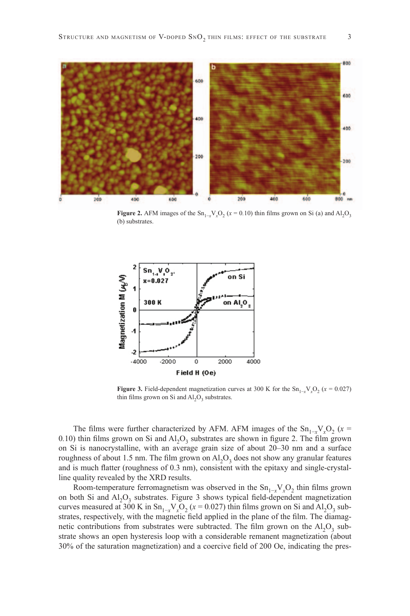

**Figure 2.** AFM images of the  $\text{Sn}_{1-x}\text{V}_x\text{O}_2$  ( $x = 0.10$ ) thin films grown on Si (a) and  $\text{Al}_2\text{O}_3$ (b) substrates.



**Figure 3.** Field-dependent magnetization curves at 300 K for the  $\text{Sn}_{1-x}\text{V}_x\text{O}_2$  ( $x = 0.027$ ) thin films grown on Si and  $AI<sub>2</sub>O<sub>3</sub>$  substrates.

The films were further characterized by AFM. AFM images of the  $\text{Sn}_{1-x}\text{V}_{x}\text{O}_{2}$  ( $x =$ 0.10) thin films grown on Si and  $Al_2O_3$  substrates are shown in figure 2. The film grown on Si is nanocrystalline, with an average grain size of about 20–30 nm and a surface roughness of about 1.5 nm. The film grown on  $\text{Al}_2\text{O}_3$  does not show any granular features and is much flatter (roughness of 0.3 nm), consistent with the epitaxy and single-crystalline quality revealed by the XRD results.

Room-temperature ferromagnetism was observed in the  $Sn_{1-x}V_xO_2$  thin films grown on both Si and  $Al_2O_3$  substrates. Figure 3 shows typical field-dependent magnetization curves measured at 300 K in  $\text{Sn}_{1-x}\text{V}_x\text{O}_2$  ( $x = 0.027$ ) thin films grown on Si and  $\text{Al}_2\text{O}_3$  substrates, respectively, with the magnetic field applied in the plane of the film. The diamagnetic contributions from substrates were subtracted. The film grown on the  $Al_2O_3$  substrate shows an open hysteresis loop with a considerable remanent magnetization (about 30% of the saturation magnetization) and a coercive field of 200 Oe, indicating the pres-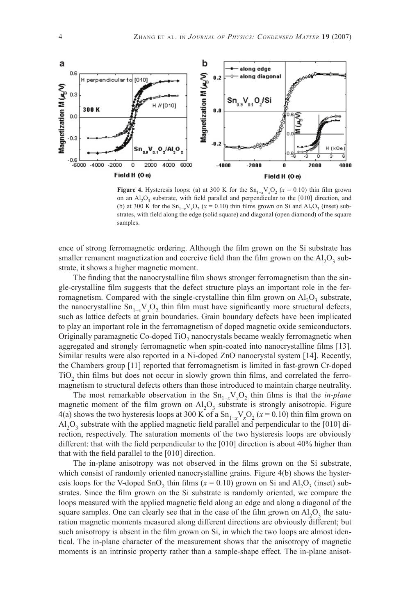

**Figure 4.** Hysteresis loops: (a) at 300 K for the  $\text{Sn}_{1-x}\text{V}_x\text{O}_2$  ( $x = 0.10$ ) thin film grown on an  $Al_2O_3$  substrate, with field parallel and perpendicular to the [010] direction, and (b) at 300 K for the  $\text{Sn}_{1-x}\text{V}_x\text{O}_2$  ( $x = 0.10$ ) thin films grown on Si and  $\text{Al}_2\text{O}_3$  (inset) substrates, with field along the edge (solid square) and diagonal (open diamond) of the square samples.

ence of strong ferromagnetic ordering. Although the film grown on the Si substrate has smaller remanent magnetization and coercive field than the film grown on the  $Al_2O_3$  substrate, it shows a higher magnetic moment.

The finding that the nanocrystalline film shows stronger ferromagnetism than the single-crystalline film suggests that the defect structure plays an important role in the ferromagnetism. Compared with the single-crystalline thin film grown on  $A I_2 O_3$  substrate, the nanocrystalline  $\text{Sn}_{1-x} \text{V}_x \text{O}_2$  thin film must have significantly more structural defects, such as lattice defects at grain boundaries. Grain boundary defects have been implicated to play an important role in the ferromagnetism of doped magnetic oxide semiconductors. Originally paramagnetic Co-doped TiO<sub>2</sub> nanocrystals became weakly ferromagnetic when aggregated and strongly ferromagnetic when spin-coated into nanocrystalline films [13]. Similar results were also reported in a Ni-doped ZnO nanocrystal system [14]. Recently, the Chambers group [11] reported that ferromagnetism is limited in fast-grown Cr-doped TiO<sub>2</sub> thin films but does not occur in slowly grown thin films, and correlated the ferromagnetism to structural defects others than those introduced to maintain charge neutrality.

The most remarkable observation in the  $\text{Sn}_{1-x}\text{V}_x\text{O}_2$  thin films is that the *in-plane* magnetic moment of the film grown on  $\text{Al}_2\text{O}_3$  substrate is strongly anisotropic. Figure 4(a) shows the two hysteresis loops at 300 K of a  $\text{Sn}_{1-x}\text{V}_{x}\text{O}_{2}$  ( $x = 0.10$ ) thin film grown on  $A<sub>1</sub>Q<sub>3</sub>$  substrate with the applied magnetic field parallel and perpendicular to the [010] direction, respectively. The saturation moments of the two hysteresis loops are obviously different: that with the field perpendicular to the  $[010]$  direction is about 40% higher than that with the field parallel to the  $[010]$  direction.

The in-plane anisotropy was not observed in the films grown on the Si substrate, which consist of randomly oriented nanocrystalline grains. Figure 4(b) shows the hysteresis loops for the V-doped SnO<sub>2</sub> thin films ( $x = 0.10$ ) grown on Si and Al<sub>2</sub>O<sub>3</sub> (inset) substrates. Since the film grown on the Si substrate is randomly oriented, we compare the loops measured with the applied magnetic field along an edge and along a diagonal of the square samples. One can clearly see that in the case of the film grown on  $A I_2 O_3$  the saturation magnetic moments measured along different directions are obviously different; but such anisotropy is absent in the film grown on Si, in which the two loops are almost identical. The in-plane character of the measurement shows that the anisotropy of magnetic moments is an intrinsic property rather than a sample-shape effect. The in-plane anisot-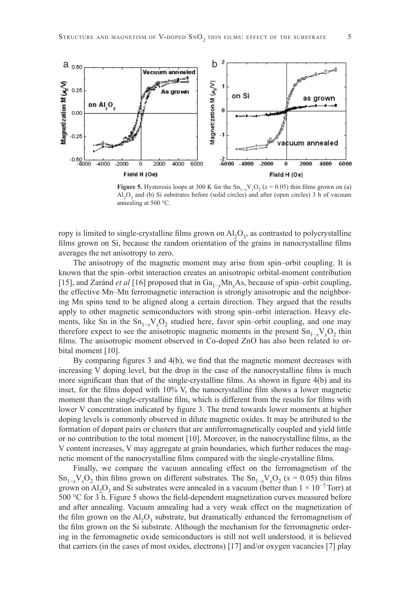

**Figure 5.** Hysteresis loops at 300 K for the  $Sn_{1-x}V_xO_2$  ( $x = 0.05$ ) thin films grown on (a)  $A<sub>1</sub>, O<sub>3</sub>$  and (b) Si substrates before (solid circles) and after (open circles) 3 h of vacuum annealing at 500 °C.

ropy is limited to single-crystalline films grown on  $Al_2O_3$ , as contrasted to polycrystalline films grown on Si, because the random orientation of the grains in nanocrystalline films averages the net anisotropy to zero.

The anisotropy of the magnetic moment may arise from spin–orbit coupling. It is known that the spin–orbit interaction creates an anisotropic orbital-moment contribution [15], and Zaránd *et al* [16] proposed that in Ga<sub>1-*x*</sub>Mn<sub>*x*</sub>As, because of spin–orbit coupling, the effective Mn–Mn ferromagnetic interaction is strongly anisotropic and the neighboring Mn spins tend to be aligned along a certain direction. They argued that the results apply to other magnetic semiconductors with strong spin–orbit interaction. Heavy elements, like Sn in the Sn<sub>1-x</sub>V<sub>x</sub>O<sub>2</sub> studied here, favor spin–orbit coupling, and one may therefore expect to see the anisotropic magnetic moments in the present  $\text{Sn}_{1-x} \text{V}_x \text{O}_2$  thin films. The anisotropic moment observed in Co-doped ZnO has also been related to orbital moment [10].

By comparing figures  $3$  and  $4(b)$ , we find that the magnetic moment decreases with increasing  $V$  doping level, but the drop in the case of the nanocrystalline films is much more significant than that of the single-crystalline films. As shown in figure 4(b) and its inset, for the films doped with  $10\%$  V, the nanocrystalline film shows a lower magnetic moment than the single-crystalline film, which is different from the results for films with lower V concentration indicated by figure 3. The trend towards lower moments at higher doping levels is commonly observed in dilute magnetic oxides. It may be attributed to the formation of dopant pairs or clusters that are antiferromagnetically coupled and yield little or no contribution to the total moment  $[10]$ . Moreover, in the nanocrystalline films, as the V content increases, V may aggregate at grain boundaries, which further reduces the magnetic moment of the nanocrystalline films compared with the single-crystalline films.

Finally, we compare the vacuum annealing effect on the ferromagnetism of the  $\text{Sn}_{1-x}\text{V}_x\text{O}_2$  thin films grown on different substrates. The  $\text{Sn}_{1-x}\text{V}_x\text{O}_2$  ( $x = 0.05$ ) thin films grown on Al<sub>2</sub>O<sub>3</sub> and Si substrates were annealed in a vacuum (better than  $1 \times 10^{-7}$  Torr) at  $500$  °C for 3 h. Figure 5 shows the field-dependent magnetization curves measured before and after annealing. Vacuum annealing had a very weak effect on the magnetization of the film grown on the  $AI_2O_3$  substrate, but dramatically enhanced the ferromagnetism of the film grown on the Si substrate. Although the mechanism for the ferromagnetic ordering in the ferromagnetic oxide semiconductors is still not well understood, it is believed that carriers (in the cases of most oxides, electrons) [17] and/or oxygen vacancies [7] play